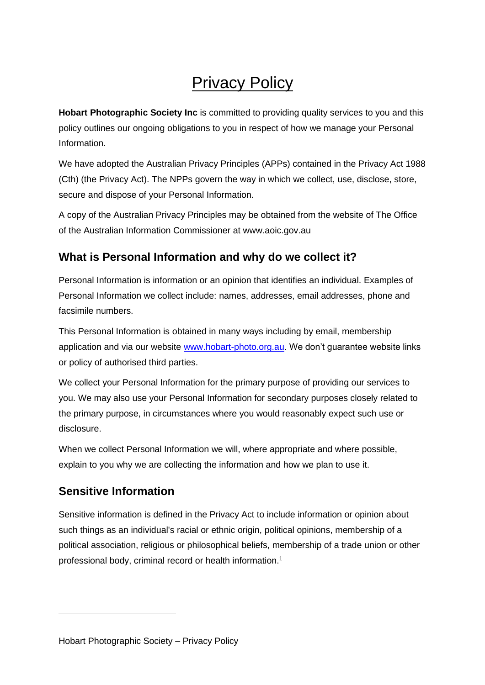# Privacy Policy

**Hobart Photographic Society Inc** is committed to providing quality services to you and this policy outlines our ongoing obligations to you in respect of how we manage your Personal Information.

We have adopted the Australian Privacy Principles (APPs) contained in the Privacy Act 1988 (Cth) (the Privacy Act). The NPPs govern the way in which we collect, use, disclose, store, secure and dispose of your Personal Information.

A copy of the Australian Privacy Principles may be obtained from the website of The Office of the Australian Information Commissioner at www.aoic.gov.au

#### **What is Personal Information and why do we collect it?**

Personal Information is information or an opinion that identifies an individual. Examples of Personal Information we collect include: names, addresses, email addresses, phone and facsimile numbers.

This Personal Information is obtained in many ways including by email, membership application and via our website [www.hobart-photo.org.au.](http://www.hobart-photo.org.au/) We don't guarantee website links or policy of authorised third parties.

We collect your Personal Information for the primary purpose of providing our services to you. We may also use your Personal Information for secondary purposes closely related to the primary purpose, in circumstances where you would reasonably expect such use or disclosure.

When we collect Personal Information we will, where appropriate and where possible, explain to you why we are collecting the information and how we plan to use it.

#### **Sensitive Information**

Sensitive information is defined in the Privacy Act to include information or opinion about such things as an individual's racial or ethnic origin, political opinions, membership of a political association, religious or philosophical beliefs, membership of a trade union or other professional body, criminal record or health information.1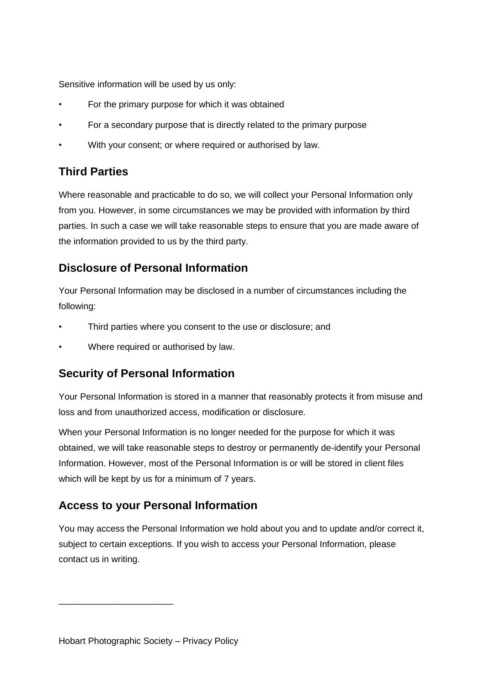Sensitive information will be used by us only:

- For the primary purpose for which it was obtained
- For a secondary purpose that is directly related to the primary purpose
- With your consent; or where required or authorised by law.

#### **Third Parties**

Where reasonable and practicable to do so, we will collect your Personal Information only from you. However, in some circumstances we may be provided with information by third parties. In such a case we will take reasonable steps to ensure that you are made aware of the information provided to us by the third party.

#### **Disclosure of Personal Information**

Your Personal Information may be disclosed in a number of circumstances including the following:

- Third parties where you consent to the use or disclosure; and
- Where required or authorised by law.

#### **Security of Personal Information**

Your Personal Information is stored in a manner that reasonably protects it from misuse and loss and from unauthorized access, modification or disclosure.

When your Personal Information is no longer needed for the purpose for which it was obtained, we will take reasonable steps to destroy or permanently de-identify your Personal Information. However, most of the Personal Information is or will be stored in client files which will be kept by us for a minimum of 7 years.

#### **Access to your Personal Information**

You may access the Personal Information we hold about you and to update and/or correct it, subject to certain exceptions. If you wish to access your Personal Information, please contact us in writing.

\_\_\_\_\_\_\_\_\_\_\_\_\_\_\_\_\_\_\_\_\_\_\_